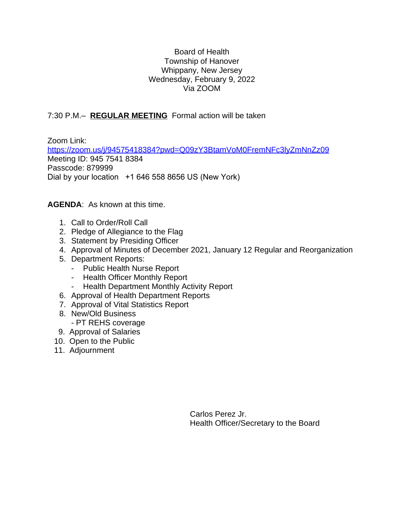### Board of Health Township of Hanover Whippany, New Jersey Wednesday, February 9, 2022 Via ZOOM

# 7:30 P.M.– **REGULAR MEETING** Formal action will be taken

Zoom Link: <https://zoom.us/j/94575418384?pwd=Q09zY3BtamVoM0FremNFc3lyZmNnZz09> Meeting ID: 945 7541 8384 Passcode: 879999 Dial by your location +1 646 558 8656 US (New York)

## **AGENDA**: As known at this time.

- 1. Call to Order/Roll Call
- 2. Pledge of Allegiance to the Flag
- 3. Statement by Presiding Officer
- 4. Approval of Minutes of December 2021, January 12 Regular and Reorganization
- 5. Department Reports:
	- Public Health Nurse Report
	- Health Officer Monthly Report
	- Health Department Monthly Activity Report
- 6. Approval of Health Department Reports
- 7. Approval of Vital Statistics Report
- 8. New/Old Business
	- PT REHS coverage
- 9. Approval of Salaries
- 10. Open to the Public
- 11. Adjournment

Carlos Perez Jr. Health Officer/Secretary to the Board